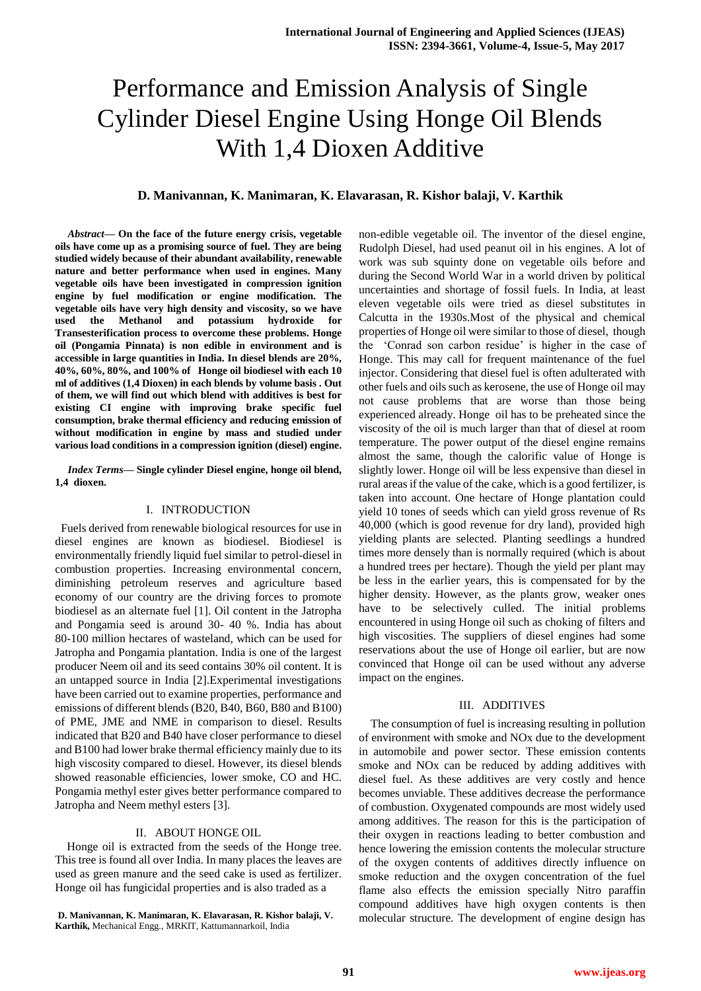# Performance and Emission Analysis of Single Cylinder Diesel Engine Using Honge Oil Blends With 1,4 Dioxen Additive

## **D. Manivannan, K. Manimaran, K. Elavarasan, R. Kishor balaji, V. Karthik**

*Abstract***— On the face of the future energy crisis, vegetable oils have come up as a promising source of fuel. They are being studied widely because of their abundant availability, renewable nature and better performance when used in engines. Many vegetable oils have been investigated in compression ignition engine by fuel modification or engine modification. The vegetable oils have very high density and viscosity, so we have used the Methanol and potassium hydroxide for Transesterification process to overcome these problems. Honge oil (Pongamia Pinnata) is non edible in environment and is accessible in large quantities in India. In diesel blends are 20%, 40%, 60%, 80%, and 100% of Honge oil biodiesel with each 10 ml of additives (1,4 Dioxen) in each blends by volume basis . Out of them, we will find out which blend with additives is best for existing CI engine with improving brake specific fuel consumption, brake thermal efficiency and reducing emission of without modification in engine by mass and studied under various load conditions in a compression ignition (diesel) engine.** 

*Index Terms***— Single cylinder Diesel engine, honge oil blend, 1,4 dioxen.**

## I. INTRODUCTION

 Fuels derived from renewable biological resources for use in diesel engines are known as biodiesel. Biodiesel is environmentally friendly liquid fuel similar to petrol-diesel in combustion properties. Increasing environmental concern, diminishing petroleum reserves and agriculture based economy of our country are the driving forces to promote biodiesel as an alternate fuel [1]. Oil content in the Jatropha and Pongamia seed is around 30- 40 %. India has about 80-100 million hectares of wasteland, which can be used for Jatropha and Pongamia plantation. India is one of the largest producer Neem oil and its seed contains 30% oil content. It is an untapped source in India [2].Experimental investigations have been carried out to examine properties, performance and emissions of different blends (B20, B40, B60, B80 and B100) of PME, JME and NME in comparison to diesel. Results indicated that B20 and B40 have closer performance to diesel and B100 had lower brake thermal efficiency mainly due to its high viscosity compared to diesel. However, its diesel blends showed reasonable efficiencies, lower smoke, CO and HC. Pongamia methyl ester gives better performance compared to Jatropha and Neem methyl esters [3].

## II. ABOUT HONGE OIL

Honge oil is extracted from the seeds of the Honge tree. This tree is found all over India. In many places the leaves are used as green manure and the seed cake is used as fertilizer. Honge oil has fungicidal properties and is also traded as a

**D. Manivannan, K. Manimaran, K. Elavarasan, R. Kishor balaji, V. Karthik,** Mechanical Engg., MRKIT, Kattumannarkoil, India

non-edible vegetable oil. The inventor of the diesel engine, Rudolph Diesel, had used peanut oil in his engines. A lot of work was sub squinty done on vegetable oils before and during the Second World War in a world driven by political uncertainties and shortage of fossil fuels. In India, at least eleven vegetable oils were tried as diesel substitutes in Calcutta in the 1930s.Most of the physical and chemical properties of Honge oil were similar to those of diesel, though the 'Conrad son carbon residue' is higher in the case of Honge. This may call for frequent maintenance of the fuel injector. Considering that diesel fuel is often adulterated with other fuels and oils such as kerosene, the use of Honge oil may not cause problems that are worse than those being experienced already. Honge oil has to be preheated since the viscosity of the oil is much larger than that of diesel at room temperature. The power output of the diesel engine remains almost the same, though the calorific value of Honge is slightly lower. Honge oil will be less expensive than diesel in rural areas if the value of the cake, which is a good fertilizer, is taken into account. One hectare of Honge plantation could yield 10 tones of seeds which can yield gross revenue of Rs 40,000 (which is good revenue for dry land), provided high yielding plants are selected. Planting seedlings a hundred times more densely than is normally required (which is about a hundred trees per hectare). Though the yield per plant may be less in the earlier years, this is compensated for by the higher density. However, as the plants grow, weaker ones have to be selectively culled. The initial problems encountered in using Honge oil such as choking of filters and high viscosities. The suppliers of diesel engines had some reservations about the use of Honge oil earlier, but are now convinced that Honge oil can be used without any adverse impact on the engines.

#### III. ADDITIVES

The consumption of fuel is increasing resulting in pollution of environment with smoke and NOx due to the development in automobile and power sector. These emission contents smoke and NOx can be reduced by adding additives with diesel fuel. As these additives are very costly and hence becomes unviable. These additives decrease the performance of combustion. Oxygenated compounds are most widely used among additives. The reason for this is the participation of their oxygen in reactions leading to better combustion and hence lowering the emission contents the molecular structure of the oxygen contents of additives directly influence on smoke reduction and the oxygen concentration of the fuel flame also effects the emission specially Nitro paraffin compound additives have high oxygen contents is then molecular structure. The development of engine design has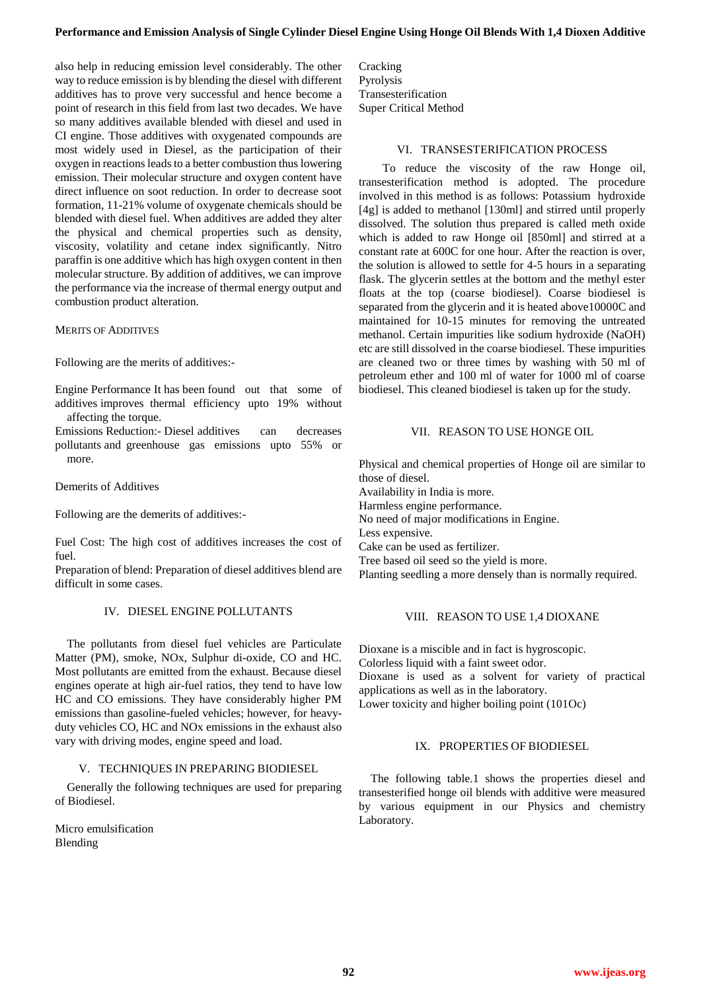also help in reducing emission level considerably. The other way to reduce emission is by blending the diesel with different additives has to prove very successful and hence become a point of research in this field from last two decades. We have so many additives available blended with diesel and used in CI engine. Those additives with oxygenated compounds are most widely used in Diesel, as the participation of their oxygen in reactions leads to a better combustion thus lowering emission. Their molecular structure and oxygen content have direct influence on soot reduction. In order to decrease soot formation, 11-21% volume of oxygenate chemicals should be blended with diesel fuel. When additives are added they alter the physical and chemical properties such as density, viscosity, volatility and cetane index significantly. Nitro paraffin is one additive which has high oxygen content in then molecular structure. By addition of additives, we can improve the performance via the increase of thermal energy output and combustion product alteration.

## MERITS OF ADDITIVES

Following are the merits of additives:-

Engine Performance It has been found out that some of additives improves thermal efficiency upto 19% without affecting the torque.

Emissions Reduction:- Diesel additives can decreases pollutants and greenhouse gas emissions upto 55% or more.

Demerits of Additives

Following are the demerits of additives:-

Fuel Cost: The high cost of additives increases the cost of fuel.

Preparation of blend: Preparation of diesel additives blend are difficult in some cases.

# IV. DIESEL ENGINE POLLUTANTS

The pollutants from diesel fuel vehicles are Particulate Matter (PM), smoke, NOx, Sulphur di-oxide, CO and HC. Most pollutants are emitted from the exhaust. Because diesel engines operate at high air-fuel ratios, they tend to have low HC and CO emissions. They have considerably higher PM emissions than gasoline-fueled vehicles; however, for heavyduty vehicles CO, HC and NOx emissions in the exhaust also vary with driving modes, engine speed and load.

# V. TECHNIQUES IN PREPARING BIODIESEL

Generally the following techniques are used for preparing of Biodiesel.

Micro emulsification Blending

**Cracking** Pyrolysis Transesterification Super Critical Method

## VI. TRANSESTERIFICATION PROCESS

To reduce the viscosity of the raw Honge oil, transesterification method is adopted. The procedure involved in this method is as follows: Potassium hydroxide [4g] is added to methanol [130ml] and stirred until properly dissolved. The solution thus prepared is called meth oxide which is added to raw Honge oil [850ml] and stirred at a constant rate at 600C for one hour. After the reaction is over, the solution is allowed to settle for 4-5 hours in a separating flask. The glycerin settles at the bottom and the methyl ester floats at the top (coarse biodiesel). Coarse biodiesel is separated from the glycerin and it is heated above10000C and maintained for 10-15 minutes for removing the untreated methanol. Certain impurities like sodium hydroxide (NaOH) etc are still dissolved in the coarse biodiesel. These impurities are cleaned two or three times by washing with 50 ml of petroleum ether and 100 ml of water for 1000 ml of coarse biodiesel. This cleaned biodiesel is taken up for the study.

## VII. REASON TO USE HONGE OIL

Physical and chemical properties of Honge oil are similar to those of diesel. Availability in India is more. Harmless engine performance. No need of major modifications in Engine. Less expensive. Cake can be used as fertilizer. Tree based oil seed so the yield is more. Planting seedling a more densely than is normally required.

# VIII. REASON TO USE 1,4 DIOXANE

Dioxane is a miscible and in fact is hygroscopic. Colorless liquid with a faint sweet odor. Dioxane is used as a solvent for variety of practical applications as well as in the laboratory.

Lower toxicity and higher boiling point (101Oc)

# IX. PROPERTIES OF BIODIESEL

The following table.1 shows the properties diesel and transesterified honge oil blends with additive were measured by various equipment in our Physics and chemistry Laboratory.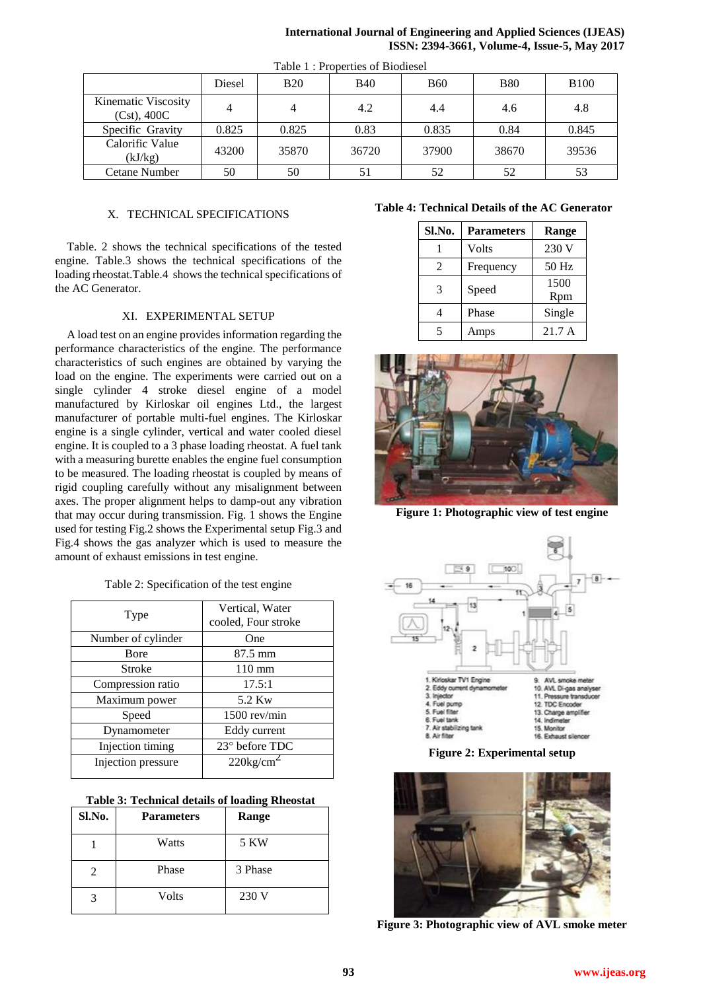| <b>International Journal of Engineering and Applied Sciences (IJEAS)</b> |                                              |  |  |
|--------------------------------------------------------------------------|----------------------------------------------|--|--|
|                                                                          | ISSN: 2394-3661, Volume-4, Issue-5, May 2017 |  |  |

| Tuble 1.110 better of Divalence       |        |            |            |            |            |              |
|---------------------------------------|--------|------------|------------|------------|------------|--------------|
|                                       | Diesel | <b>B20</b> | <b>B40</b> | <b>B60</b> | <b>B80</b> | <b>B</b> 100 |
| Kinematic Viscosity<br>$(Cst)$ , 400C | 4      |            | 4.2        | 4.4        | 4.6        | 4.8          |
| Specific Gravity                      | 0.825  | 0.825      | 0.83       | 0.835      | 0.84       | 0.845        |
| Calorific Value<br>(kJ/kg)            | 43200  | 35870      | 36720      | 37900      | 38670      | 39536        |
| Cetane Number                         | 50     | 50         |            | 52         | 52         | 53           |

#### Table 1 : Properties of Biodiesel

## X. TECHNICAL SPECIFICATIONS

Table. 2 shows the technical specifications of the tested engine. Table.3 shows the technical specifications of the loading rheostat.Table.4 shows the technical specifications of the AC Generator.

## XI. EXPERIMENTAL SETUP

A load test on an engine provides information regarding the performance characteristics of the engine. The performance characteristics of such engines are obtained by varying the load on the engine. The experiments were carried out on a single cylinder 4 stroke diesel engine of a model manufactured by Kirloskar oil engines Ltd., the largest manufacturer of portable multi-fuel engines. The Kirloskar engine is a single cylinder, vertical and water cooled diesel engine. It is coupled to a 3 phase loading rheostat. A fuel tank with a measuring burette enables the engine fuel consumption to be measured. The loading rheostat is coupled by means of rigid coupling carefully without any misalignment between axes. The proper alignment helps to damp-out any vibration that may occur during transmission. Fig. 1 shows the Engine used for testing Fig.2 shows the Experimental setup Fig.3 and Fig.4 shows the gas analyzer which is used to measure the amount of exhaust emissions in test engine.

#### Table 2: Specification of the test engine

| Type               | Vertical, Water<br>cooled, Four stroke |  |
|--------------------|----------------------------------------|--|
| Number of cylinder | One                                    |  |
| <b>B</b> ore       | 87.5 mm                                |  |
| Stroke             | $110 \text{ mm}$                       |  |
| Compression ratio  | 17.5:1                                 |  |
| Maximum power      | 5.2 Kw                                 |  |
| Speed              | 1500 rev/min                           |  |
| Dynamometer        | Eddy current                           |  |
| Injection timing   | $23°$ before TDC                       |  |
| Injection pressure | $220\text{kg/cm}^2$                    |  |

|  |  |  | <b>Table 3: Technical details of loading Rheostat</b> |  |
|--|--|--|-------------------------------------------------------|--|
|--|--|--|-------------------------------------------------------|--|

| Sl.No. | <b>Parameters</b> | Range   |
|--------|-------------------|---------|
|        | Watts             | 5 KW    |
| 2      | Phase             | 3 Phase |
| 3      | Volts             | 230 V   |

# **Table 4: Technical Details of the AC Generator**

| Sl.No. | <b>Parameters</b> | Range       |  |
|--------|-------------------|-------------|--|
|        | Volts             | 230 V       |  |
| 2      | Frequency         | 50 Hz       |  |
| 3      | Speed             | 1500<br>Rpm |  |
|        | Phase             | Single      |  |
|        | Amps              | 21.7 A      |  |



**Figure 1: Photographic view of test engine**



**Figure 2: Experimental setup**



**Figure 3: Photographic view of AVL smoke meter**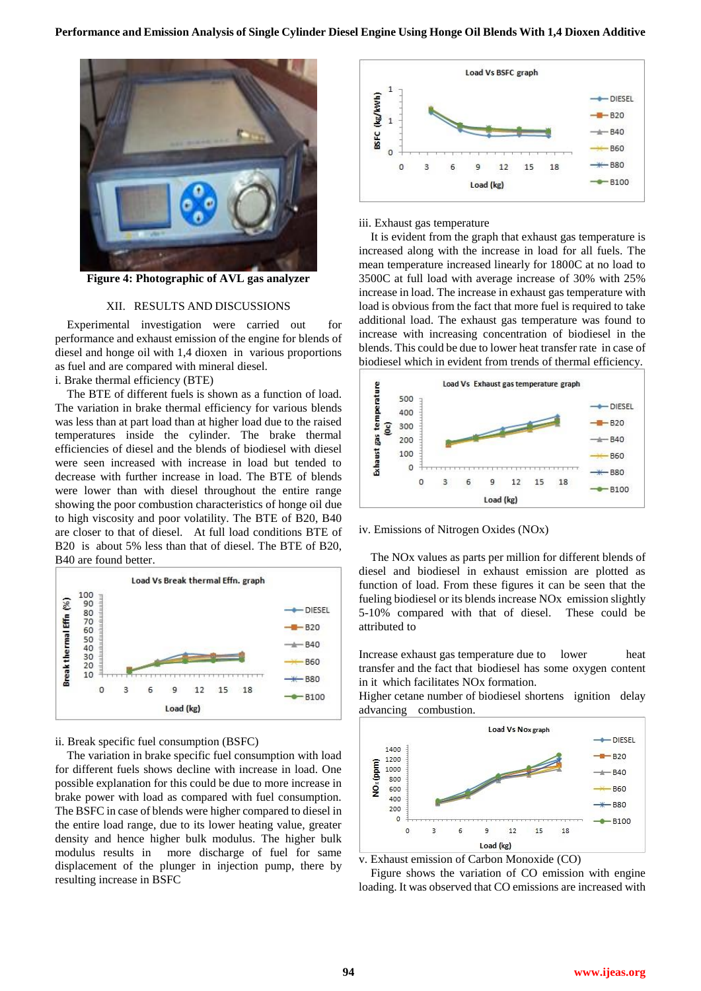

**Figure 4: Photographic of AVL gas analyzer**

#### XII. RESULTS AND DISCUSSIONS

Experimental investigation were carried out for performance and exhaust emission of the engine for blends of diesel and honge oil with 1,4 dioxen in various proportions as fuel and are compared with mineral diesel.

i. Brake thermal efficiency (BTE)

The BTE of different fuels is shown as a function of load. The variation in brake thermal efficiency for various blends was less than at part load than at higher load due to the raised temperatures inside the cylinder. The brake thermal efficiencies of diesel and the blends of biodiesel with diesel were seen increased with increase in load but tended to decrease with further increase in load. The BTE of blends were lower than with diesel throughout the entire range showing the poor combustion characteristics of honge oil due to high viscosity and poor volatility. The BTE of B20, B40 are closer to that of diesel. At full load conditions BTE of B20 is about 5% less than that of diesel. The BTE of B20, B40 are found better.



ii. Break specific fuel consumption (BSFC)

The variation in brake specific fuel consumption with load for different fuels shows decline with increase in load. One possible explanation for this could be due to more increase in brake power with load as compared with fuel consumption. The BSFC in case of blends were higher compared to diesel in the entire load range, due to its lower heating value, greater density and hence higher bulk modulus. The higher bulk modulus results in more discharge of fuel for same displacement of the plunger in injection pump, there by resulting increase in BSFC



#### iii. Exhaust gas temperature

It is evident from the graph that exhaust gas temperature is increased along with the increase in load for all fuels. The mean temperature increased linearly for 1800C at no load to 3500C at full load with average increase of 30% with 25% increase in load. The increase in exhaust gas temperature with load is obvious from the fact that more fuel is required to take additional load. The exhaust gas temperature was found to increase with increasing concentration of biodiesel in the blends. This could be due to lower heat transfer rate in case of biodiesel which in evident from trends of thermal efficiency.



iv. Emissions of Nitrogen Oxides (NOx)

The NOx values as parts per million for different blends of diesel and biodiesel in exhaust emission are plotted as function of load. From these figures it can be seen that the fueling biodiesel or its blends increase NOx emission slightly 5-10% compared with that of diesel. These could be attributed to

Increase exhaust gas temperature due to lower heat transfer and the fact that biodiesel has some oxygen content in it which facilitates NOx formation.

Higher cetane number of biodiesel shortens ignition delay advancing combustion.



v. Exhaust emission of Carbon Monoxide (CO)

Figure shows the variation of CO emission with engine loading. It was observed that CO emissions are increased with